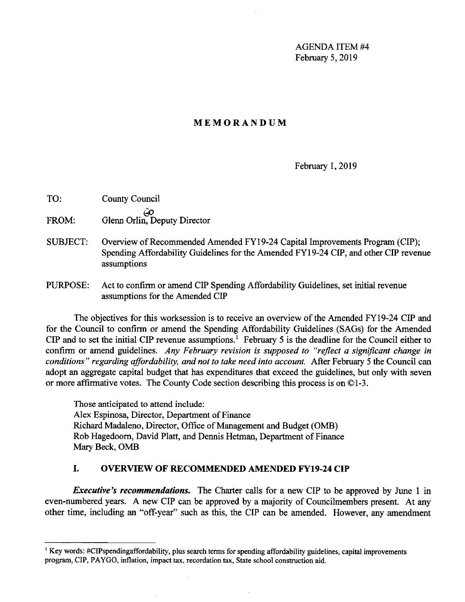AGENDA ITEM #4 February 5, 2019

### **MEMORANDUM**

February 1, 2019

- TO: County Council *id)*  FROM: Glenn Orlin, Deputy Director
- SUBJECT: Overview of Recommended Amended FYl 9-24 Capital Improvements Program (CIP); Spending Affordability Guidelines for the Amended FY19-24 CIP, and other CIP revenue assumptions
- PURPOSE: Act to confirm or amend CIP Spending Affordability Guidelines, set initial revenue assumptions for the Amended CIP

The objectives for this worksession is to receive an overview of the Amended FY19-24 CIP and for the Council to confirm or amend the Spending Affordability Guidelines (SAGs) for the Amended CIP and to set the initial CIP revenue assumptions.<sup>1</sup> February 5 is the deadline for the Council either to confirm or amend guidelines. *Any February revision is supposed to "reflect a significant change in conditions" regarding affordability, and not to take need into account.* After February 5 the Council can adopt an aggregate capital budget that has expenditures that exceed the guidelines, but only with seven or more affirmative votes. The County Code section describing this process is on ©1-3.

Those anticipated to attend include: Alex Espinosa, Director, Department of Finance Richard Madaleno, Director, Office of Management and Budget (0MB) Rob Hagedoom, David Platt, and Dennis Hetrnan, Department of Finance Mary Beck, 0MB

### **I. OVERVIEW OF RECOMMENDED AMENDED FY19-24 CIP**

*Executive's recommendations.* The Charter calls for a new CIP to be approved by June 1 in even-numbered years. A new CIP can be approved by a majority of Councilmembers present. At any other time, including an "off-year" such as this, the CIP can be amended. However, any amendment

<sup>&</sup>lt;sup>1</sup> Key words: #CIPspendingaffordability, plus search terms for spending affordability guidelines, capital improvements program, CIP, PA YGO, inflation, impact tax, recordation tax, State school construction aid.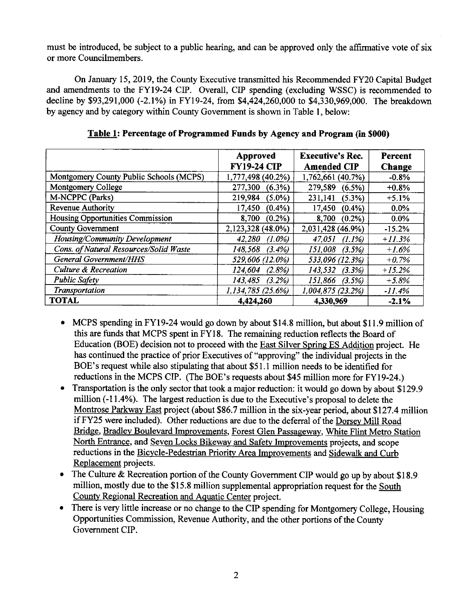must be introduced, be subject to a public hearing, and can be approved only the affirmative vote of six or more Councilmembers.

On January 15, 2019, the County Executive transmitted his Recommended FY20 Capital Budget and amendments to the FY19-24 CIP. Overall, CIP spending (excluding WSSC) is recommended to decline by \$93,291,000 (-2.1%) in FY19-24, from \$4,424,260,000 to \$4,330,969,000. The breakdown by agency and by category within County Government is shown in Table I, below:

|                                         | Approved<br><b>FY19-24 CIP</b> | <b>Executive's Rec.</b><br><b>Amended CIP</b> | Percent<br>Change |
|-----------------------------------------|--------------------------------|-----------------------------------------------|-------------------|
| Montgomery County Public Schools (MCPS) | 1,777,498 (40.2%)              | 1,762,661 (40.7%)                             | $-0.8%$           |
| Montgomery College                      | 277,300<br>$(6.3\%)$           | 279,589<br>$(6.5\%)$                          | $+0.8%$           |
| M-NCPPC (Parks)                         | 219,984<br>$(5.0\%)$           | 231,141<br>(5.3%)                             | $+5.1%$           |
| <b>Revenue Authority</b>                | 17,450<br>(0.4%                | 17,450<br>(0.4%                               | $0.0\%$           |
| Housing Opportunities Commission        | 8,700<br>$(0.2\%)$             | 8,700<br>$(0.2\%)$                            | 0.0%              |
| <b>County Government</b>                | 2,123,328 (48.0%)              | 2,031,428 (46.9%)                             | $-15.2%$          |
| Housing/Community Development           | 42,280<br>$(1.0\%)$            | 47.051<br>(1.1%)                              | $+11.3%$          |
| Cons. of Natural Resources/Solid Waste  | 148.568<br>(3.4%)              | 151,008<br>(3.5%)                             | $+1.6%$           |
| <b>General Government/HHS</b>           | 529,606 (12.0%)                | 533,096 (12.3%)                               | $+0.7\%$          |
| <b>Culture &amp; Recreation</b>         | 124.604<br>(2.8%)              | 143,532<br>(3.3%)                             | $+15.2%$          |
| <b>Public Safety</b>                    | 143.485<br>(3.2%)              | 151,866 (3.5%)                                | $+5.8%$           |
| Transportation                          | 1.134,785 (25.6%)              | 1,004,875 (23.2%)                             | $-11.4%$          |
| <b>TOTAL</b>                            | 4,424,260                      | 4.330,969                                     | $-2.1%$           |

**Table 1: Percentage of Programmed Funds by Agency and Program (in \$000)** 

- MCPS spending in FY19-24 would go down by about \$14.8 million, but about \$11.9 million of this are funds that MCPS spent in FYI 8. The remaining reduction reflects the Board of Education (BOE) decision not to proceed with the East Silver Spring ES Addition project. He has continued the practice of prior Executives of "approving" the individual projects in the BOE's request while also stipulating that about \$51.1 million needs to be identified for reductions in the MCPS CIP. (The BOE's requests about \$45 million more for FY19-24.)
- Transportation is the only sector that took a major reduction: it would go down by about \$129.9 million (-11.4%). The largest reduction is due to the Executive's proposal to delete the Montrose Parkway East project (about \$86.7 million in the six-year period, about \$127.4 million if FY25 were included). Other reductions are due to the deferral of the Dorsey **Mill** Road Bridge, Bradley Boulevard Improvements, Forest Glen Passageway. White Flint Metro Station North Entrance, and Seven Locks Bikeway and Safety Improvements projects, and scope reductions in the Bicycle-Pedestrian Priority Area Improvements and Sidewalk and Curb Replacement projects.
- The Culture & Recreation portion of the County Government CIP would go up by about \$18.9 million, mostly due to the \$15.8 million supplemental appropriation request for the South County Regional Recreation and Aquatic Center project.
- There is very little increase or no change to the CIP spending for Montgomery College, Housing Opportunities Commission, Revenue Authority, and the other portions of the County Government CIP.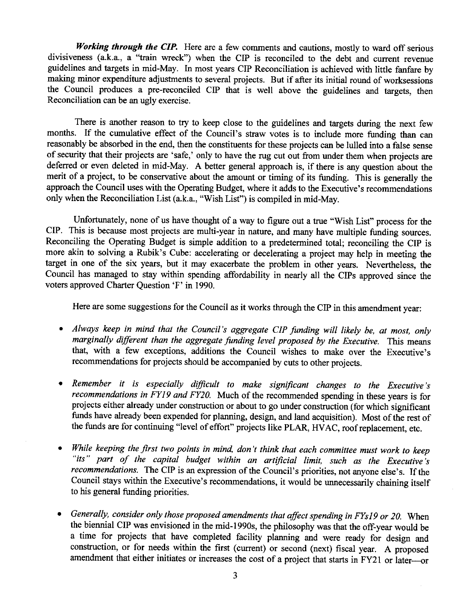*Working through the CIP.* Here are a few comments and cautions, mostly to ward off serious divisiveness (a.k.a., a "train wreck") when the CIP is reconciled to the debt and current revenue guidelines and targets in mid-May. In most years CIP Reconciliation is achieved with little fanfare by making minor expenditure adjustments to several projects. But if after its initial round of worksessions the Council produces a pre-reconciled CIP that is well above the guidelines and targets, then Reconciliation can be an ugly exercise.

There is another reason to try to keep close to the guidelines and targets during the next few months. If the cumulative effect of the Council's straw votes is to include more funding than can reasonably be absorbed in the end, then the constituents for these projects can be lulled into a false sense of security that their projects are 'safe,' only to have the rug cut out from under them when projects are deferred or even deleted in mid-May. A better general approach is, if there is any question about the merit of a project, to be conservative about the amount or timing of its funding. This is generally the approach the Council uses with the Operating Budget, where it adds to the Executive's recommendations only when the Reconciliation List (a.k.a., "Wish List") is compiled in mid-May.

Unfortunately, none of us have thought of a way to figure out a true "Wish List" process for the CIP. This is because most projects are multi-year in nature, and many have multiple funding sources. Reconciling the Operating Budget is simple addition to a predetermined total; reconciling the CIP is more akin to solving a Rubik's Cube: accelerating or decelerating a project may help in meeting the target in one of the six years, but it may exacerbate the problem in other years. Nevertheless, the Council has managed to stay within spending affordability in nearly all the CIPs approved since the voters approved Charter Question 'F' in 1990.

Here are some suggestions for the Council as it works through the CIP in this amendment year:

- *Always keep in mind that the Council's aggregate CIP funding will likely be, at most, only marginally different than the aggregate funding level proposed by the Executive.* This means that, with a few exceptions, additions the Council wishes to make over the Executive's recommendations for projects should be accompanied by cuts to other projects.
- *Remember it is especially difficult to make significant changes to the Executive 's recommendations in FYJ9 and FY20.* Much of the recommended spending in these years is for projects either already under construction or about to go under construction (for which significant funds have already been expended for planning, design, and land acquisition). Most of the rest of the funds are for continuing "level of effort" projects like PLAR, HV AC, roof replacement, etc.
- *While keeping the first two points in mind, don 't think that each committee must work to keep "its" part of the capital budget within an artificial limit, such as the Executive's recommendations.* The CIP is an expression of the Council's priorities, not anyone else's. If the Council stays within the Executive's recommendations, it would be unnecessarily chaining itself to his general funding priorities.
- *Generally, consider only those proposed amendments that affect spending in FYs19 or 20.* When the biennial CIP was envisioned in the mid-l 990s, the philosophy was that the off-year would be a time for projects that have completed facility planning and were ready for design and construction, or for needs within the first (current) or second (next) fiscal year. A proposed amendment that either initiates or increases the cost of a project that starts in FY21 or later-or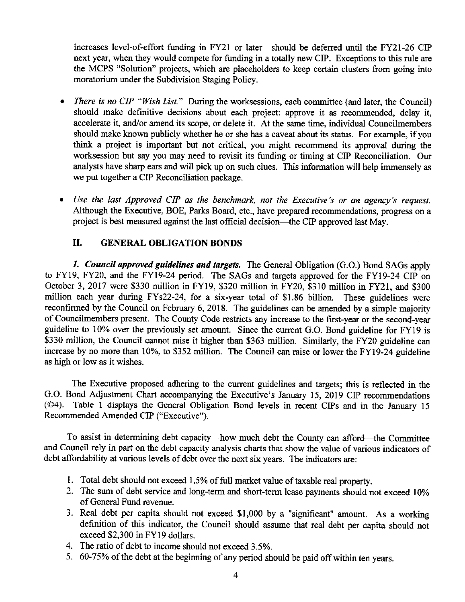increases level-of-effort funding in FY21 or later-should be deferred until the FY21-26 CIP next year, when they would compete for funding in a totally new CIP. Exceptions to this rule are the MCPS "Solution" projects, which are placeholders to keep certain clusters from going into moratorium under the Subdivision Staging Policy.

- *There is no CIP "Wish List.*" During the worksessions, each committee (and later, the Council) should make definitive decisions about each project: approve it as recommended, delay it, accelerate it, and/or amend its scope, or delete it. At the same time, individual Councilmembers should make known publicly whether he or she has a caveat about its status. For example, if you think a project is important but not critical, you might recommend its approval during the worksession but say you may need to revisit its funding or timing at CIP Reconciliation. Our analysts have sharp ears and will pick up on such clues. This information will help immensely as we put together a CIP Reconciliation package.
- *Use the last Approved CIP as the benchmark, not the Executive 's or an agency's request.*  Although the Executive, BOE, Parks Board, etc., have prepared recommendations, progress on a project is best measured against the last official decision—the CIP approved last May.

### **II. GENERAL OBLIGATION BONDS**

*1. Council approved guidelines and targets.* The General Obligation (G.O.) Bond SAGs apply to FYl9, FY20, and the FY19-24 period. The SAGs and targets approved for the FY19-24 CIP on October 3, 2017 were \$330 million in FYl9, \$320 million in FY20, \$310 million in FY21, and \$300 million each year during FYs22-24, for a six-year total of \$1.86 billion. These guidelines were reconfirmed by the Council on February 6, 2018. The guidelines can be amended by a simple majority of Councilmembers present. The County Code restricts any increase to the first-year or the second-year guideline to 10% over the previously set amount. Since the current G.O. Bond guideline for FY19 is \$330 million, the Council cannot raise it higher than \$363 million. Similarly, the FY20 guideline can increase by no more than 10%, to \$352 million. The Council can raise or lower the FY19-24 guideline as high or low as it wishes.

The Executive proposed adhering to the current guidelines and targets; this is reflected in the G.O. Bond Adjustment Chart accompanying the Executive's January 15, 2019 CIP recommendations (©4). Table 1 displays the General Obligation Bond levels in recent CIPs and in the January 15 Recommended Amended CIP ("Executive").

To assist in determining debt capacity-how much debt the County can afford-the Committee and Council rely in part on the debt capacity analysis charts that show the value of various indicators of debt affordability at various levels of debt over the next six years. The indicators are:

- 1. Total debt should not exceed 1.5% of full market value of taxable real property.
- 2. The sum of debt service and long-term and short-term lease payments should not exceed 10% of General Fund revenue.
- 3. Real debt per capita should not exceed \$1,000 by a "significant" amount. As a working definition of this indicator, the Council should assume that real debt per capita should not exceed \$2,300 in FY19 dollars.
- 4. The ratio of debt to income should not exceed 3.5%.
- 5. 60-75% of the debt at the beginning of any period should be paid off within ten years.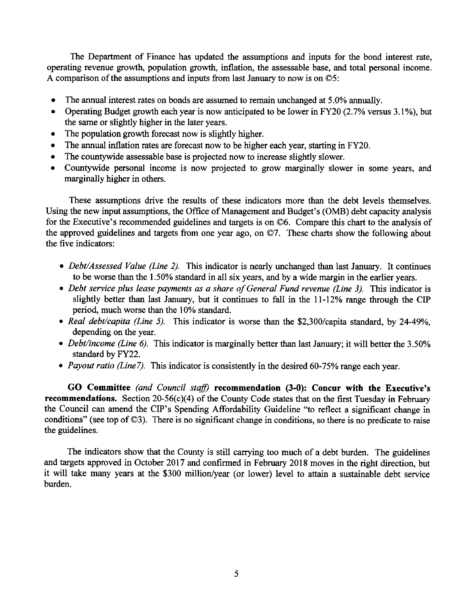The Department of Finance has updated the assumptions and inputs for the bond interest rate, operating revenue growth, population growth, inflation, the assessable base, and total personal income. A comparison of the assumptions and inputs from last January to now is on ©5:

- The annual interest rates on bonds are assumed to remain unchanged at 5.0% annually.
- Operating Budget growth each year is now anticipated to be lower in FY20 (2.7% versus 3.1%), but the same or slightly higher in the later years.
- The population growth forecast now is slightly higher.
- The annual inflation rates are forecast now to be higher each year, starting in FY20.
- The countywide assessable base is projected now to increase slightly slower.
- Countywide personal income is now projected to grow marginally slower in some years, and marginally higher in others.

These assumptions drive the results of these indicators more than the debt levels themselves. Using the new input assumptions, the Office of Management and Budget's (0MB) debt capacity analysis for the Executive's recommended guidelines and targets is on ©6. Compare this chart to the analysis of the approved guidelines and targets from one year ago, on ©7. These charts show the following about the five indicators:

- *Debt/Assessed Value (Line 2).* This indicator is nearly unchanged than last January. It continues to be worse than the 1.50% standard in all six years, and by a wide margin in the earlier years.
- *Debt service plus lease payments as a share of General Fund revenue (Line 3).* This indicator is slightly better than last January, but it continues to fall in the 11-12% range through the CIP period, much worse than the 10% standard.
- *Real debt/capita (Line 5).* This indicator is worse than the \$2,300/capita standard, by 24-49%, depending on the year.
- *Debt/income (Line 6).* This indicator is marginally better than last January; it will better the 3.50% standard by FY22.
- *Payout ratio (Line7)*. This indicator is consistently in the desired 60-75% range each year.

**GO Committee** *(and Council staff)* **recommendation (3-0): Concur with the Executive's recommendations.** Section 20-56(c)(4) of the County Code states that on the first Tuesday in February the Council can amend the CIP's Spending Affordability Guideline "to reflect a significant change in conditions" (see top of ©3). There is no significant change in conditions, so there is no predicate to raise the guidelines.

The indicators show that the County is still carrying too much of a debt burden. The guidelines and targets approved in October 2017 and confirmed in February 2018 moves in the right direction, but it will take many years at the \$300 million/year (or lower) level to attain a sustainable debt service burden.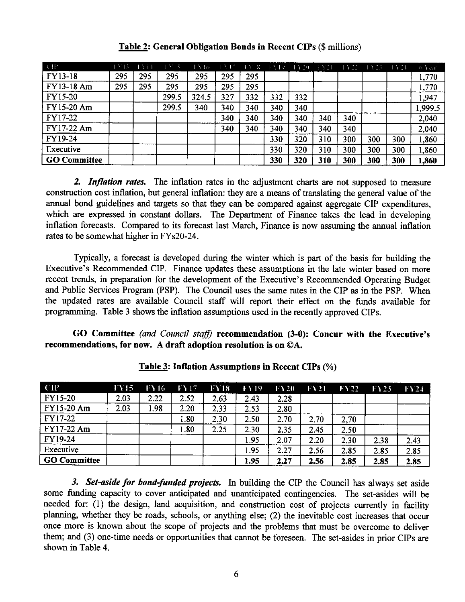| $\langle$ ([])      | 1513 | $\rightarrow$ 14 | $1 \times 15$ | 1516  | $\perp$ $\perp$ $\perp$ | $+518$ | EYT9. | $+Y20$ | ا د . | LY 22 | $\rightarrow$ $\rightarrow$ $\rightarrow$ | $\pm$ Y <sup>-1</sup> | $0.5 \, \mathrm{GeV}$ |
|---------------------|------|------------------|---------------|-------|-------------------------|--------|-------|--------|-------|-------|-------------------------------------------|-----------------------|-----------------------|
| <b>FY13-18</b>      | 295  | 295              | 295           | 295   | 295                     | 295    |       |        |       |       |                                           |                       | 1,770                 |
| FY13-18 Am          | 295  | 295              | 295           | 295   | 295                     | 295    |       |        |       |       |                                           |                       | 1,770                 |
| <b>FY15-20</b>      |      |                  | 299.5         | 324.5 | 327                     | 332    | 332   | 332    |       |       |                                           |                       | 1,947                 |
| FY15-20 Am          |      |                  | 299.5         | 340   | 340                     | 340    | 340   | 340    |       |       |                                           |                       | 1,999.5               |
| FY17-22             |      |                  |               |       | 340                     | 340    | 340   | 340    | 340   | 340   |                                           |                       | 2,040                 |
| FY17-22 Am          |      |                  |               |       | 340                     | 340    | 340   | 340    | 340   | 340   |                                           |                       | 2,040                 |
| FY19-24             |      |                  |               |       |                         |        | 330   | 320    | 310   | 300   | 300                                       | 300                   | 1,860                 |
| Executive           |      |                  |               |       |                         |        | 330   | 320    | 310   | 300   | 300                                       | 300                   | 1,860                 |
| <b>GO Committee</b> |      |                  |               |       |                         |        | 330   | 320    | 310   | 300   | 300                                       | 300                   | 1,860                 |

**Table 2: General Obligation Bonds in Recent CIPs** (\$ millions)

*2. Inflation rates.* The inflation rates in the adjustment charts are not supposed to measure construction cost inflation, but general inflation: they are a means of translating the general value of the annual bond guidelines and targets so that they can be compared against aggregate CIP expenditures, which are expressed in constant dollars. The Department of Finance takes the lead in developing inflation forecasts. Compared to its forecast last March, Finance is now assuming the annual inflation rates to be somewhat higher in FYs20-24.

Typically, a forecast is developed during the winter which is part of the basis for building the Executive's Recommended CIP. Finance updates these assumptions in the late winter based on more recent trends, in preparation for the development of the Executive's Recommended Operating Budget and Public Services Program (PSP). The Council uses the same rates in the CIP as in the PSP. When the updated rates are available Council staff will report their effect on the funds available for programming. Table 3 shows the inflation assumptions used in the recently approved CIPs.

**GO Committee** *(and Council staff)* **recommendation (3-0): Concur with the Executive's recommendations, for now. A draft adoption resolution is on ©A.** 

| CD                  | FV15 | <b>FY16</b> | <b>FY17</b> | <b>FY18</b> | FY <sub>19</sub> | $\text{FY20}$ | $\Gamma$ Y21 | <b>FY22</b> | $\Gamma$ \ 23 | FY24 |
|---------------------|------|-------------|-------------|-------------|------------------|---------------|--------------|-------------|---------------|------|
| <b>FY15-20</b>      | 2.03 | 2.22        | 2.52        | 2.63        | 2.43             | 2.28          |              |             |               |      |
| <b>FY15-20 Am</b>   | 2.03 | <b>.98</b>  | 2.20        | 2.33        | 2.53             | 2.80          |              |             |               |      |
| FY17-22             |      |             | 1.80        | 2.30        | 2.50             | 2.70          | 2.70         | 2,70        |               |      |
| FY17-22 Am          |      |             | 1.80        | 2.25        | 2.30             | 2.35          | 2.45         | 2.50        |               |      |
| FY19-24             |      |             |             |             | 1.95             | 2.07          | 2.20         | 2.30        | 2.38          | 2.43 |
| Executive           |      |             |             |             | 1.95             | 2.27          | 2.56         | 2.85        | 2.85          | 2.85 |
| <b>GO Committee</b> |      |             |             |             | 1.95             | 2.27          | 2.56         | 2.85        | 2.85          | 2.85 |

**Table 3: Inflation Assumptions** in **Recent CIPs** (%)

*3. Set-aside for bond-funded projects.* In building the CIP the Council has always set aside some funding capacity to cover anticipated and unanticipated contingencies. The set-asides will be needed for: (1) the design, land acquisition, and construction cost of projects currently in facility planning, whether they be roads, schools, or anything else; (2) the inevitable cost increases that occur once more is known about the scope of projects and the problems that must be overcome to deliver them; and (3) one-time needs or opportunities that cannot be foreseen. The set-asides in prior CIPs are shown in Table 4.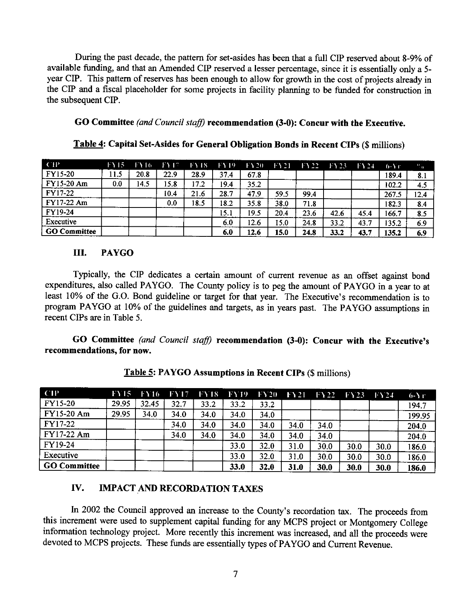During the past decade, the pattern for set-asides has been that a full CIP reserved about 8-9% of available funding, and that an Amended CIP reserved a lesser percentage, since it is essentially only a 5 year CIP. This pattern of reserves has been enough to allow for growth in the cost of projects already in the CIP and a fiscal placeholder for some projects in facility planning to be funded for construction in the subsequent CIP.

**GO Committee** *(and Council stajj)* **recommendation (3-0): Concur with the Executive.** 

| CP                  | FY15. | <b>FY16</b> | FY <sub>17</sub> | FY 18 | <b>FY19</b> | $\Gamma$ Y <sub>20</sub> | <b>FY21</b> | 1.3.22 | 1123 | $\Gamma$ 124 | $6 - Yr$ | W.   |
|---------------------|-------|-------------|------------------|-------|-------------|--------------------------|-------------|--------|------|--------------|----------|------|
| FY15-20             | 11.5  | 20.8        | 22.9             | 28.9  | 37.4        | 67.8                     |             |        |      |              | 189.4    | 8.1  |
| <b>FY15-20 Am</b>   | 0.0   | 14.5        | 15.8             | 17.2  | 19.4        | 35.2                     |             |        |      |              | 102.2    | 4.5  |
| FY17-22             |       |             | 10.4             | 21.6  | 28.7        | 47.9                     | 59.5        | 99.4   |      |              | 267.5    | 12.4 |
| FY17-22 Am          |       |             | 0.0              | 18.5  | 18.2        | 35.8                     | 38.0        | 71.8   |      |              | 182.3    | 8.4  |
| FY19-24             |       |             |                  |       | 15.1        | 19.5                     | 20.4        | 23.6   | 42.6 | 45.4         | 166.7    | 8.5  |
| Executive           |       |             |                  |       | 6.0         | 12.6                     | 15.0        | 24.8   | 33.2 | 43.7         | 135.2    | 6.9  |
| <b>GO Committee</b> |       |             |                  |       | 6.0         | 12.6                     | 15.0        | 24.8   | 33.2 | 43.7         | 135.2    | 6.9  |

**Table 4: Capital Set-Asides for General Obligation Bonds in Recent CIPs** (\$ millions)

### III. **PAYGO**

Typically, the CIP dedicates a certain amount of current revenue as an offset against bond expenditures, also called PAYGO. The County policy is to peg the amount of PAYGO in a year to at least 10% of the G.O. Bond guideline or target for that year. The Executive's recommendation is to program PA YGO at 10% of the guidelines and targets, as in years past. The PA YGO assumptions in recent CIPs are in Table 5.

**GO Committee** *(and Council stajj)* **recommendation (3-0): Concur with the Executive's recommendations, for now.** 

| CP                  | FY15  | FY 16 | <b>FY17</b> | <b>FY18</b> | <b>FY19</b> | $\Gamma$ Y20 | 1.121 | $\Gamma$ Y22 | <b>FY23 FY24</b> |      | $6-Yr$ |
|---------------------|-------|-------|-------------|-------------|-------------|--------------|-------|--------------|------------------|------|--------|
| FY15-20             | 29.95 | 32.45 | 32.7        | 33.2        | 33.2        | 33.2         |       |              |                  |      | 194.7  |
| FY15-20 Am          | 29.95 | 34.0  | 34.0        | 34.0        | 34.0        | 34.0         |       |              |                  |      | 199.95 |
| <b>FY17-22</b>      |       |       | 34.0        | 34.0        | 34.0        | 34.0         | 34.0  | 34.0         |                  |      | 204.0  |
| FY17-22 Am          |       |       | 34.0        | 34.0        | 34.0        | 34.0         | 34.0  | 34.0         |                  |      | 204.0  |
| FY19-24             |       |       |             |             | 33.0        | 32.0         | 31.0  | 30.0         | 30.0             | 30.0 | 186.0  |
| Executive           |       |       |             |             | 33.0        | 32.0         | 31.0  | 30.0         | 30.0             | 30.0 | 186.0  |
| <b>GO Committee</b> |       |       |             |             | 33.0        | 32.0         | 31.0  | 30.0         | 30.0             | 30.0 | 186.0  |

**Table 5: PAYGO Assumptions in Recent CIPs** (\$ millions)

# **IV. IMPACT AND RECORDATION TAXES**

In 2002 the Council approved an increase to the County's recordation tax. The proceeds from this increment were used to supplement capital funding for any MCPS project or Montgomery College information technology project. More recently this increment was increased, and all the proceeds were devoted to MCPS projects. These funds are essentially types of PA YGO and Current Revenue.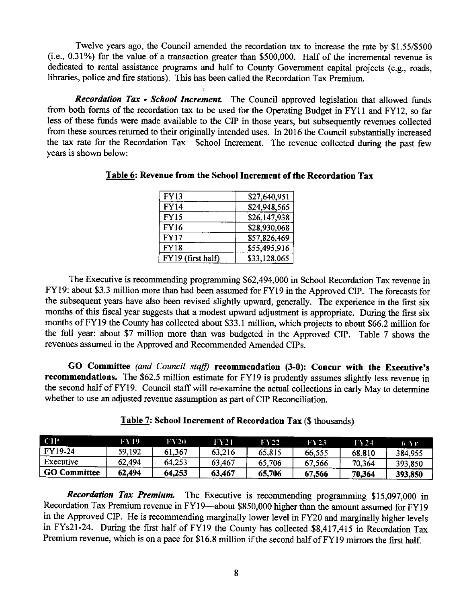Twelve years ago, the Council amended the recordation tax to increase the rate by \$1.55/\$500 (i.e., 0.31 %) for the value of a transaction greater than \$500,000. Half of the incremental revenue is dedicated to rental assistance programs and half to County Government capital projects (e.g., roads, libraries, police and fire stations). This has been called the Recordation Tax Premium.

*Recordation Tax* - *School Increment.* The Council approved legislation that allowed funds from both forms of the recordation tax to be used for the Operating Budget in FYI 1 and FY12, so far less of these funds were made available to the CIP in those years, but subsequently revenues collected from these sources returned to their originally intended uses. In 2016 the Council substantially increased the tax rate for the Recordation Tax-School Increment. The revenue collected during the past few years is shown below:

| FY13              | \$27,640,951 |
|-------------------|--------------|
| <b>FY14</b>       | \$24,948,565 |
| <b>FY15</b>       | \$26,147,938 |
| <b>FY16</b>       | \$28,930,068 |
| <b>FY17</b>       | \$57,826,469 |
| FY18              | \$55,495,916 |
| FY19 (first half) | \$33,128,065 |

### **Table 6: Revenue from the School Increment of the Recordation Tax**

The Executive is recommending programming \$62,494,000 in School Recordation Tax revenue in FY19: about \$3.3 million more than had been assumed for FY19 in the Approved CIP. The forecasts for the subsequent years have also been revised slightly upward, generally. The experience in the first six months of this fiscal year suggests that a modest upward adjustment is appropriate. During the first six months of FY19 the County has collected about \$33.1 million, which projects to about \$66.2 million for the full year: about \$7 million more than was budgeted in the Approved CIP. Table 7 shows the revenues assumed in the Approved and Recommended Amended CIPs.

**GO Committee** *(and Council staff)* **recommendation (3-0): Concur with the Executive's recommendations.** The \$62.5 million estimate for FY19 is prudently assumes slightly less revenue in the second half of FY19. Council staff will re-examine the actual collections in early May to determine whether to use an adjusted revenue assumption as part of CIP Reconciliation.

| <b>GO Committee</b> | 62,494 | 64.253 | 63,467 | 65,706 | 67,566 | 70,364 | 393,850 |
|---------------------|--------|--------|--------|--------|--------|--------|---------|
| Executive           | 62,494 | 64,253 | 63.467 | 65,706 | 67,566 | 70,364 | 393,850 |
| FY19-24             | 59,192 | 61.367 | 63.216 | 65,815 | 66,555 | 68.810 | 384,955 |
| <b>CIP</b>          | FY 19. | FY 20. | FY 21  | FY 22. | FY23   | FY 24  | 6-Yr    |

| Table 7: School Increment of Recordation Tax (\$ thousands) |  |  |
|-------------------------------------------------------------|--|--|
|-------------------------------------------------------------|--|--|

*Recordation Tax Premium.* The Executive is recommending programming \$15,097,000 in Recordation Tax Premium revenue in FY19-about \$850,000 higher than the amount assumed for FY19 in the Approved CIP. He is recommending marginally lower level in FY20 and marginally higher levels in FYs21-24. During the first half of FY19 the County has collected \$8,417,415 in Recordation Tax Premium revenue, which is on a pace for \$16.8 million if the second half of FY19 mirrors the first half.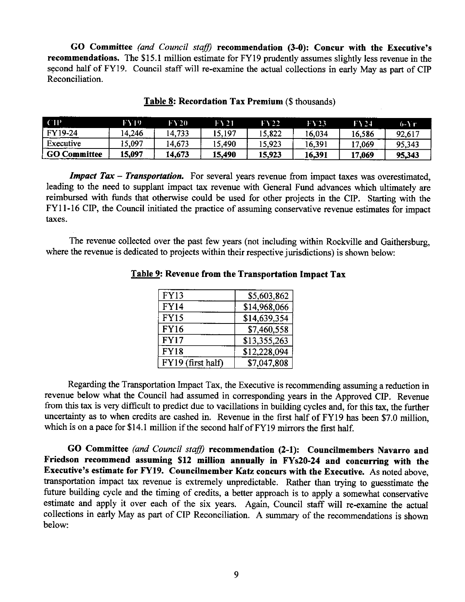**GO Committee** *(and Council staff)* **recommendation (3-0): Concur with the Executive's recommendations.** The \$15.1 million estimate for FY19 prudently assumes slightly less revenue in the second half of FY19. Council staff will re-examine the actual collections in early May as part of CIP Reconciliation.

| - CTP               | FY 19  | FY 20  | FY 21. | FY 22. | FY 23   | FY 24  | 6-1 г  |
|---------------------|--------|--------|--------|--------|---------|--------|--------|
| FY19-24             | 4.246  | 14,733 | 15.197 | 15,822 | i 6.034 | 16.586 | 92,617 |
| Executive           | 15,097 | 14,673 | 15.490 | 15,923 | 16,391  | 17.069 | 95,343 |
| <b>GO Committee</b> | 15,097 | 14,673 | 15,490 | 15,923 | 16.391  | 17.069 | 95,343 |

### **Table 8: Recordation Tax Premium(\$** thousands)

*Impact Tax* **-** *Transportation.* For several years revenue from impact taxes was overestimated, leading to the need to supplant impact tax revenue with General Fund advances which ultimately are reimbursed with funds that otherwise could be used for other projects in the CIP. Starting with the FYI 1-16 CIP, the Council initiated the practice of assuming conservative revenue estimates for impact taxes.

The revenue collected over the past few years (not including within Rockville and Gaithersburg, where the revenue is dedicated to projects within their respective jurisdictions) is shown below:

| <b>FY13</b>       | \$5,603,862  |
|-------------------|--------------|
| <b>FY14</b>       | \$14,968,066 |
| <b>FY15</b>       | \$14,639,354 |
| <b>FY16</b>       | \$7,460,558  |
| <b>FY17</b>       | \$13,355,263 |
| <b>FY18</b>       | \$12,228,094 |
| FY19 (first half) | \$7,047,808  |

### **Table 9: Revenue from the Transportation Impact Tax**

Regarding the Transportation Impact Tax, the Executive is recommending assuming a reduction in revenue below what the Council had assumed in corresponding years in the Approved CIP. Revenue from this tax is very difficult to predict due to vacillations in building cycles and, for this tax, the further uncertainty as to when credits are cashed in. Revenue in the first half of FYI9 has been \$7.0 million, which is on a pace for \$14.1 million if the second half of FY19 mirrors the first half.

**GO Committee** *(and Council staff)* **recommendation (2-1): Councilmembers Navarro and Friedson recommend assuming \$12 million annually in FYs20-24 and concurring with the Executive's estimate for FY19. Councilmember Katz concurs with the Executive.** As noted above, transportation impact tax revenue is extremely unpredictable. Rather than trying to guesstimate the future building cycle and the timing of credits, a better approach is to apply a somewhat conservative estimate and apply it over each of the six years. Again, Council staff will re-examine the actual collections in early May as part of CIP Reconciliation. A summary of the recommendations is shown below: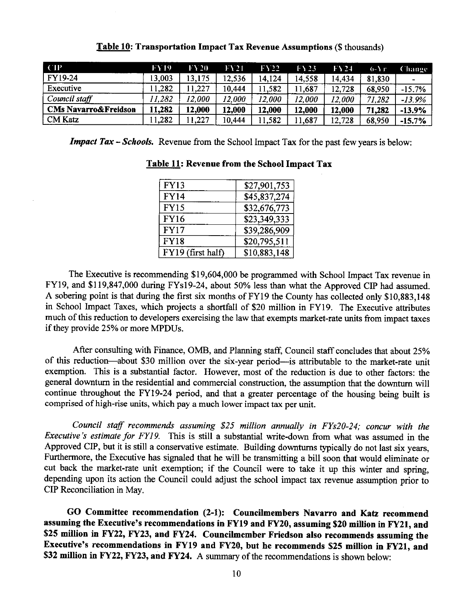| <b>CIP</b>                      | FY 19  | FY 20  | $\Gamma$ Y 21 | FY 22.        | FY 23  | FY24   | $0 - Yr$ | Change   |
|---------------------------------|--------|--------|---------------|---------------|--------|--------|----------|----------|
| <b>FY19-24</b>                  | 13,003 | 13,175 | 12,536        | 14,124        | 14.558 | 14.434 | 81,830   |          |
| Executive                       | 11,282 | 11,227 | 10,444        | 11,582        | 11,687 | 12.728 | 68,950   | $-15.7%$ |
| $\vert$ Council staff           | 11,282 | 12,000 | 12,000        | <i>12,000</i> | 12,000 | 12.000 | 71.282   | $-13.9%$ |
| <b>CMs Navarro&amp;Freidson</b> | 11.282 | 12,000 | 12,000        | 12,000        | 12,000 | 12,000 | 71,282   | $-13.9%$ |
| CM Katz                         | 1.282  | 11,227 | 10,444        | 11,582        | 1,687  | 12.728 | 68,950   | $-15.7%$ |

**Table 10: Transportation Impact Tax Revenue Assumptions(\$** thousands)

**Impact Tax - Schools.** Revenue from the School Impact Tax for the past few years is below:

| <b>FY13</b>       | \$27,901,753 |
|-------------------|--------------|
| <b>FY14</b>       | \$45,837,274 |
| <b>FY15</b>       | \$32,676,773 |
| <b>FY16</b>       | \$23,349,333 |
| <b>FY17</b>       | \$39,286,909 |
| <b>FY18</b>       | \$20,795,511 |
| FY19 (first half) | \$10,883,148 |

### **Table 11: Revenue from the School Impact Tax**

The Executive is recommending \$19,604,000 be programmed with School Impact Tax revenue in FY19, and \$119,847,000 during FYs19-24, about 50% less than what the Approved CIP had assumed. A sobering point is that during the first six months of FY19 the County has collected only \$10,883,148 in School Impact Taxes, which projects a shortfall of \$20 million in FY19. The Executive attributes much of this reduction to developers exercising the law that exempts market-rate units from impact taxes if they provide 25% or more MPDUs.

After consulting with Finance, 0MB, and Planning staff, Council staff concludes that about 25% of this reduction-about \$30 million over the six-year period-is attributable to the market-rate unit exemption. This is a substantial factor. However, most of the reduction is due to other factors: the general downturn in the residential and commercial construction, the assumption that the downturn will continue throughout the FY19-24 period, and that a greater percentage of the housing being built is comprised of high-rise units, which pay a much lower impact tax per unit.

*Council staff recommends assuming \$25 million annually in FYs20-24; concur with the Executive's estimate for FY19.* This is still a substantial write-down from what was assumed in the Approved CIP, but it is still a conservative estimate. Building downturns typically do not last six years, Furthermore, the Executive has signaled that he will be transmitting a bill soon that would eliminate or cut back the market-rate unit exemption; if the Council were to take it up this winter and spring, depending upon its action the Council could adjust the school impact tax revenue assumption prior to CIP Reconciliation in May.

**GO Committee recommendation (2-1): Councilmembers Navarro and Katz recommend assuming the Executive's recommendations in FY19 and FY20, assuming \$20 million** in **FY21, and \$25 million in FY22, FY23, and FY24. Councilmember Friedson also recommends assuming the Executive's recommendations in FY19 and FY20, but he recommends \$25 million in FY21, and \$32 million in FY22, FY23, and FY24.** A summary of the recommendations is shown below: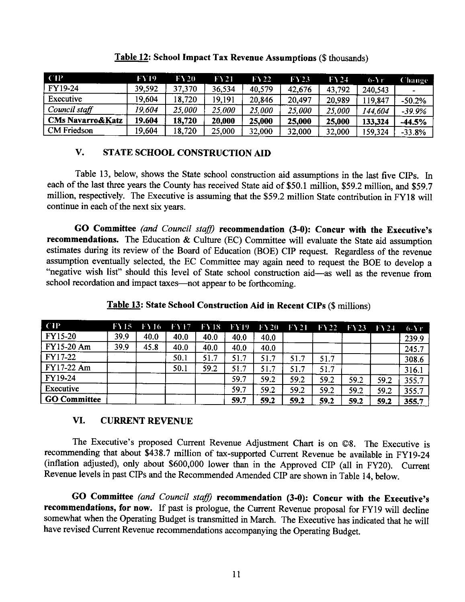| CP                          | FY 19. | <b>FY20</b> | <b>FY21</b> | $\bf{F}$ $\bf{V}$ 22 | FY23   | F124   | $6 - Yr$ | Change-  |
|-----------------------------|--------|-------------|-------------|----------------------|--------|--------|----------|----------|
| FY19-24                     | 39,592 | 37,370      | 36.534      | 40,579               | 42,676 | 43,792 | 240,543  |          |
| Executive                   | 19.604 | 18,720      | 19,191      | 20,846               | 20,497 | 20,989 | 19,847   | $-50.2%$ |
| Council staff               | 19.604 | 25,000      | 25,000      | 25,000               | 25,000 | 25,000 | 144.604  | $-39.9%$ |
| <b>CMs Navarro&amp;Katz</b> | 19.604 | 18,720      | 20,000      | 25,000               | 25,000 | 25,000 | 133,324  | $-44.5%$ |
| <b>CM</b> Friedson          | 19,604 | 18,720      | 25.000      | 32,000               | 32,000 | 32,000 | 159,324  | $-33.8%$ |

### **Table 12: School Impact Tax Revenue Assumptions(\$** thousands)

# **V. STATE SCHOOL CONSTRUCTION AID**

Table 13, below, shows the State school construction aid assumptions in the last five CIPs. In each of the last three years the County has received State aid of \$50.1 million, \$59.2 million, and \$59.7 million, respectively. The Executive is assuming that the \$59.2 million State contribution in FY18 will continue in each of the next six years.

**GO Committee** *(and Council staff)* **recommendation (3-0): Concur with the Executive's recommendations.** The Education & Culture (EC) Committee will evaluate the State aid assumption estimates during its review of the Board of Education (BOE) CIP request. Regardless of the revenue assumption eventually selected, the EC Committee may again need to request the BOE to develop a "negative wish list" should this level of State school construction aid-as well as the revenue from school recordation and impact taxes—not appear to be forthcoming.

| <b>CIP</b>          | <b>FY15</b> | <b>FY16</b> | <b>FY17</b> | <b>FY18</b> | FY19 | 1.520 |      | $\text{FY21}$ $\text{FY22}$ | $-$ FY23 | FY24 | $6 - Yr$ |
|---------------------|-------------|-------------|-------------|-------------|------|-------|------|-----------------------------|----------|------|----------|
| FY15-20             | 39.9        | 40.0        | 40.0        | 40.0        | 40.0 | 40.0  |      |                             |          |      | 239.9    |
| FY15-20 Am          | 39.9        | 45.8        | 40.0        | 40.0        | 40.0 | 40.0  |      |                             |          |      | 245.7    |
| FY17-22             |             |             | 50.1        | 51.7        | 51.7 | 51.7  | 51.7 | 51.7                        |          |      | 308.6    |
| FY17-22 Am          |             |             | 50.1        | 59.2        | 51.7 | 51.7  | 51.7 | 51.7                        |          |      | 316.1    |
| FY19-24             |             |             |             |             | 59.7 | 59.2  | 59.2 | 59.2                        | 59.2     | 59.2 | 355.7    |
| Executive           |             |             |             |             | 59.7 | 59.2  | 59.2 | 59.2                        | 59.2     | 59.2 | 355.7    |
| <b>GO Committee</b> |             |             |             |             | 59.7 | 59.2  | 59.2 | 59.2                        | 59.2     | 59.2 | 355.7    |

## **Table 13: State School Construction Aid in Recent CIPs** (\$ millions)

### **VI. CURRENT REVENUE**

The Executive's proposed Current Revenue Adjustment Chart is on ©8. The Executive is recommending that about \$438.7 million of tax-supported Current Revenue be available in FY19-24 (inflation adjusted), only about \$600,000 lower than in the Approved CIP (all in FY20). Current Revenue levels in past CIPs and the Recommended Amended CIP are shown in Table 14, below.

**GO Committee** *(and Council staff)* **recommendation (3-0): Concur with the Executive's recommendations, for now.** If past is prologue, the Current Revenue proposal for FY19 will decline somewhat when the Operating Budget is transmitted in March. The Executive has indicated that he will have revised Current Revenue recommendations accompanying the Operating Budget.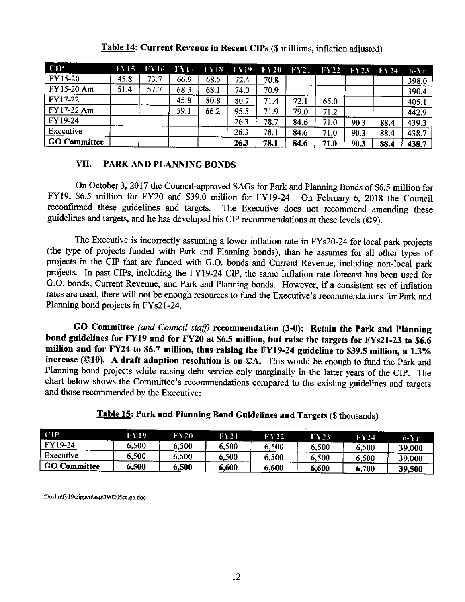| <b>CIP</b>          | FY15 | <b>FY16</b> | <b>FY17</b> | <b>FY18</b> | FY 19 | $\Gamma$ Y20 | FY21 | FY22 FY23 |      | $\Gamma$ Y 24 | $0 - Y_1$ |
|---------------------|------|-------------|-------------|-------------|-------|--------------|------|-----------|------|---------------|-----------|
| <b>FY15-20</b>      | 45.8 | 73.7        | 66.9        | 68.5        | 72.4  | 70.8         |      |           |      |               | 398.0     |
| FY15-20 Am          | 51.4 | 57.7        | 68.3        | 68.1        | 74.0  | 70.9         |      |           |      |               | 390.4     |
| FY17-22             |      |             | 45.8        | 80.8        | 80.7  | 71.4         | 72.1 | 65.0      |      |               | 405.1     |
| FY17-22 Am          |      |             | 59.1        | 66.2        | 95.5  | 71.9         | 79.0 | 71.2      |      |               | 442.9     |
| FY19-24             |      |             |             |             | 26.3  | 78.7         | 84.6 | 71.0      | 90.3 | 88.4          | 439.3     |
| Executive           |      |             |             |             | 26.3  | 78.1         | 84.6 | 71.0      | 90.3 | 88.4          | 438.7     |
| <b>GO Committee</b> |      |             |             |             | 26.3  | 78.1         | 84.6 | 71.0      | 90.3 | 88.4          | 438.7     |

**Table 14: Current Revenue in Recent CIPs (\$ millions, inflation adjusted)** 

### **VII. PARK AND PLANNING BONDS**

On October 3, 2017 the Council-approved SAGs for Park and Planning Bonds of \$6.5 million for FY19, \$6.5 million for FY20 and \$39.0 million for FY19-24. On February 6, 2018 the Council reconfirmed these guidelines and targets. The Executive does not recommend amending these guidelines and targets, and he has developed his CIP recommendations at these levels (©9).

The Executive is incorrectly assuming a lower inflation rate in FY s20-24 for local park projects (the type of projects funded with Park and Planning bonds), than he assumes for all other types of projects in the CIP that are funded with G.O. bonds and Current Revenue, including non-local park projects. In past CIPs, including the FY19-24 CIP, the same inflation rate forecast has been used for G.O. bonds, Current Revenue, and Park and Planning bonds. However, if a consistent set of inflation rates are used, there will not be enough resources to fund the Executive's recommendations for Park and Planning bond projects in FYs21-24.

**GO Committee** *(and Council staff)* **recommendation (3-0): Retain the Park and Planning bond guidelines for FY19 and for FY20 at \$6.5 million, but raise the targets for FYs21-23 to \$6.6 million and for FY24 to \$6.7 million, thus raising the FY19-24 guideline to \$39.5 million, a 1.3% increase (©10). A draft adoption resolution is on ©A.** This would be enough to fund the Park and Planning bond projects while raising debt service only marginally in the latter years of the CIP. The chart below shows the Committee's recommendations compared to the existing guidelines and targets and those recommended by the Executive:

| Executive<br>6,500<br>6,500<br>6.500<br>6.500<br>6,500<br>6.500<br><b>GO Committee</b><br>6.500 | 39,000 |
|-------------------------------------------------------------------------------------------------|--------|
|                                                                                                 |        |
| FY19-24<br>6.500<br>6,500<br>6,500<br>6.500<br>6,500<br>6.500                                   | 39,000 |
| CIP<br>FY 19<br>FY20<br>FY21<br>FY22<br>FY 23<br>FY 24                                          | 6-Yr   |

**Table 15: Park and Planning Bond Guidelines and Targets(\$** thousands)

f: \orlin\fy 19\cipgen \sag\190205cc.go. doc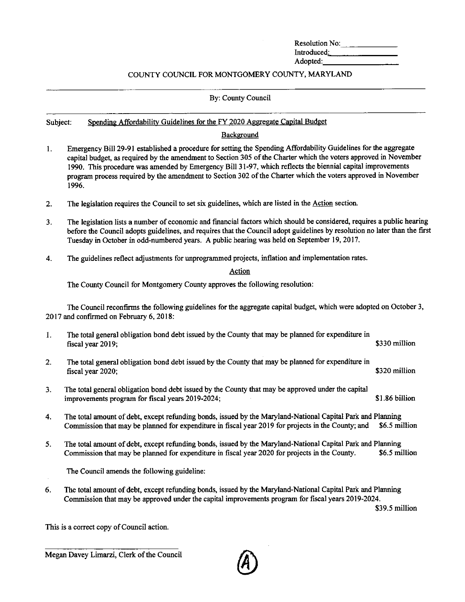| Resolution No. |  |
|----------------|--|
| Introduced:    |  |
| Adopted:       |  |

### COUNTY COUNCIL FOR MONTGOMERY COUNTY, MARYLAND

#### By: County Council

#### Subject: Spending Affordability Guidelines for the FY 2020 Aggregate Capital Budget

### **Background**

- I. Emergency Bill 29-91 established a procedure for setting the Spending Affordability Guidelines for the aggregate capital budget, as required by the amendment to Section 305 of the Charter which the voters approved in November 1990. This procedure was amended by Emergency Bill 31-97, which reflects the biennial capital improvements program process required by the amendment to Section 302 of the Charter which the voters approved in November 1996.
- 2. The legislation requires the Council to set six guidelines, which are listed in the Action section.
- 3. The legislation lists a number of economic and financial factors which should be considered, requires a public hearing before the Council adopts guidelines, and requires that the Council adopt guidelines by resolution no later than the first Tuesday in October in odd-numbered years. A public hearing was held on September 19, 2017.
- 4. The guidelines reflect adjustments for unprogrammed projects, inflation and implementation rates.

Action

The County Council for Montgomery County approves the following resolution:

The Council reconfirms the following guidelines for the aggregate capital budget, which were adopted on October 3, 2017 and confirmed on February 6, 2018:

- I. The total general obligation bond debt issued by the County that may be planned for expenditure in fiscal year 2019;  $\sim$  \$330 million
- 2. The total general obligation bond debt issued by the County that may be planned for expenditure in fiscal year 2020; \$320 million \$320 million
- 3. The total general obligation bond debt issued by the County that may be approved under the capital improvements program for fiscal years 2019-2024; \$1.86 billion
- 4. The total amount of debt, except refunding bonds, issued by the Maryland-National Capital Park and Planning Commission that may be planned for expenditure in fiscal year 2019 for projects in the County; and \$6.5 million
- 5. The total amount of debt, except refunding bonds, issued by the Maryland-National Capital Park and Planning Commission that may be planned for expenditure in fiscal year 2020 for projects in the County. \$6.5 million

The Council amends the following guideline:

6. The total amount of debt, except refunding bonds, issued by the Maryland-National Capital Park and Planning Commission that may be approved under the capital improvements program for fiscal years 2019-2024.

\$39.5 million

This is a correct copy of Council action.

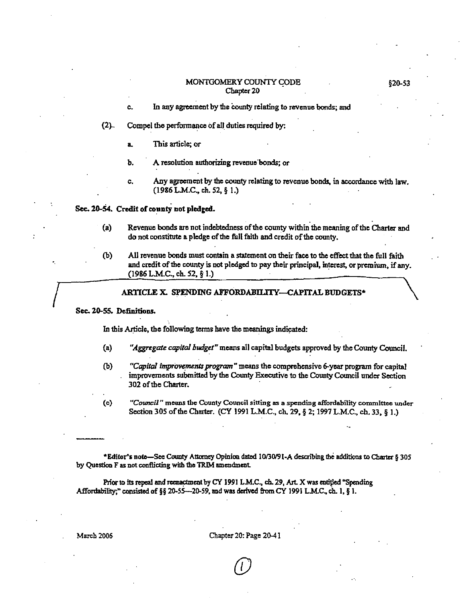#### MONTGOMERY COUNTY CODE Chapter 20

- c. In any agreement by the county relating to revenue bonds; and
- (2).. Compel the performance of all\_ duties required by:
	- **L** This article; or
	- **b.** A resolution authorizing revenue bonds; or
	- c. Any agreement by the county relating to revenue bonds, in accordance with law. (19&6 L.M.C. ch. 52, § I.)

### Sec. 20-54. Credit **of county not pledged.**

- (a) Revenue bonds are not indebtedness of the county within 1he meaning of the Charter and do not constitute a pledge of the full faith and credit of the county.
- (b) AU revenue bonds must contain a statement on their face to the effect that the full faith and credit of the county is not pledged to pay their principal, interest, or premiwn, if any.  $(1986$  L.M.C., ch. 52, § 1.)  $\setminus$

### ARTICLE X. SPENDING AFFORDABILITY-CAPITAL BUDGETS\*

#### Sec. 20-55. Definitions.

 $\int$ 

In this Article, the following terms have the meanings indicated:

- (a) *"Aggregate capital budget"* means all capital budgets approved by the County Council.
- (b) *"Capital improvements program"* means the comprehensive 6-year program for capital improvements submitted by the County Executive to the County Council under Section 302 of the Charter.
- (c) *"Cow,cil"* means the County Council sitting as a spending affordability committee under Section 305 of the Charter. (CY 1991 L.M.C., ch. 29, § 2; 1997 L.M.C., ch. 33, § 1.)

\*Editor's note-See County Attorney Opinion dated 10/30/91-A describing the additions to Charter § 305 by Question F as not conflicting wilb 1he TRIM amendment.

Prior to its repeal and reenactment by CY 1991 L.M.C., ch. 29, Art. X was entitled "Spending Affordability;" consisted of §§ 20-55-20-59, and was derived from CY 1991 L.M.C., ch. 1, § 1.

March 2006 Chapter 20: Page 20-41

 $\overline{\mathcal{O}}$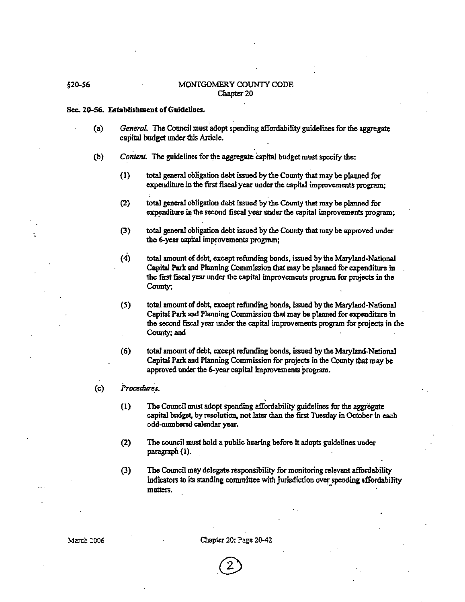### §20-56 MONTGOMERY COUNTY CODE Chapter 20

#### Sec. 20-56. **Establishment of Guidelines.**

- (a) *General.* The Council must.adopt spending affordability guidelines for the aggregate capital budget under this Article.
- (b) *ConlenL* The guidelines for the aggregate capital budget must specify the:
	- (1) total general obligation debt issued by the County that may be planned for expenditure.in the first fiscal year under the capital improvements program;
	- (2) total general obligation debt issued by the County that may be planned for expenditure in the second fiscal year under the capital improvements program;
	- (3) total general obligation debt issued by the County that may be approved under the 6-year capital improvements program;
	- (4) total amount of debt, except refunding bonds, issued by the Maryland-National Capital Park and Planning Commission that may be planned for expenditure in the first fiscal year under the capital improvements program for projects in the County;
	- (5) total amount of debt, except refunding bonds, issued by the Maryland-National Capital Park and Planning Commission that may be planned for expenditure in the second fiscal year under the capital improvements program for projects in the County; and
	- (6) total amount of debt, except refunding bonds, issued by the Maryland-National Capital Park and Planning Commission for projects in the County that may be approved undec the 6-year capital improvements program.
- ( C) *Procedures.* 
	- (I) The Council must adopt spending affordability guidelines for the aggregate capital budget, by resolution, not later than the first Tuesday in October in each odd-numbered calendar year.
	- (2) The council must hold a public hearing before it adopts guidelines under paragraph (1).
	- (3) The Council may delegate responsibility for monitoring relevant affordability indicators to its standing committee with jurisdiction over spending affordability matters.

Chapter 20: Page 20-42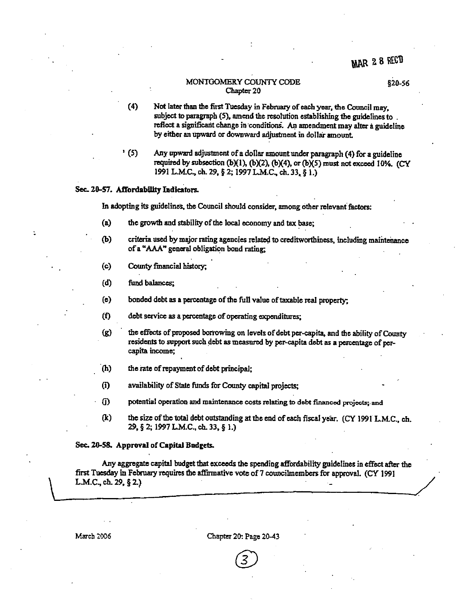#### MONTGOMERY COUNTY CODE Chapter 20

§20-56

- (4) Not later than the first Tuesday in February of each year, the Council may, subject to paragraph (5), amend the resolution establishing the guidelines to. reflect a significant change in conditions. An amendment may alter a guideline by either an upward or downward adjustment in dollar amount
- ' (5) Any upward adjustment of a dollar amount under paragraph (4) for a guideline required by subsection (b)(1), (b)(2), (b)(4), or (b)(5) must not exceed 10%. (CY 1991 L.MC., ch. 29, § 2; 1997 L.M.C., ch. 33, § I.)

#### Sec. 20-57. Affordability Indicators.

In adopting its guidelines, the Council should consider, among other relevant factors:

- (a) the growth and stability of the local economy and tax base;
- (b) criteria used by major rating agencies related to creditworthiness, including maintenance of **a "AAA"** general obligation bond rating;
- ( c) County financial history;
- (d) fund balances;
- (e} bonded debt as **a** percentage of the full value of taxable real property;
- (f) debt service as a percentage of operating expenditures;
- (g) the effects of proposed borrowing on levels of debt per-capita, and the ability of County residents to support such debt as measured by per-capita debt as a percentage of percapita income;
- · (h) the rate of repaymcnt of debt principal;
- (i} availability of State funds for County capital projects;
- ID potential operation and maintenance costs relaring to debt financed projccts;-and
- (k) the size of the total debt outstanding at the end of each fiscal year. (CY 1991 L.M.C., ch. 29, § 2; 1997 L.M.C., ch. 33, § I.)

#### Sec. 20-58. Approval of Capital Budgets.

Any aggregate capital budget that exceeds the spending affordability guidelines in effect after the first Tuesday in February requires the affirmative vote of 7 councilmembers for approval. (CY 1991 L.M.C., ch. 29, § 2.)

 $\begin{pmatrix} 1 & 1 \ 1 & 1 \end{pmatrix}$ 

March 2006 Chapter 20: Page 20-43

®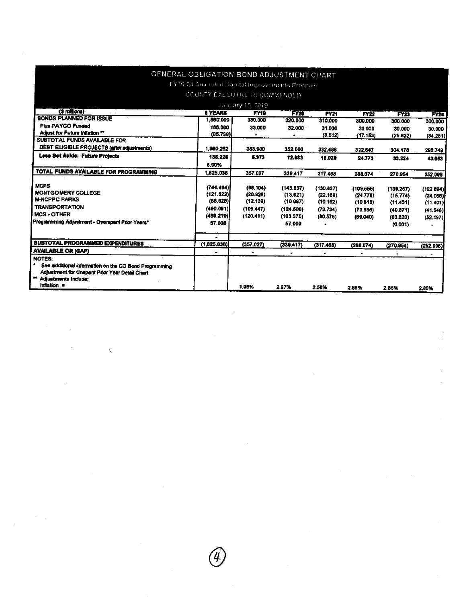|                                                            | GENERAL OBLIGATION BOND ADJUSTMENT CHART      |                         |             |             |             |             |             |
|------------------------------------------------------------|-----------------------------------------------|-------------------------|-------------|-------------|-------------|-------------|-------------|
|                                                            | TY19-24 Ami nond Capital Improvements Program |                         |             |             |             |             |             |
|                                                            |                                               |                         |             |             |             |             |             |
|                                                            | COUNTY EXECUTIVE RECOMMENDED.                 |                         |             |             |             |             |             |
|                                                            |                                               | <b>January 15, 2019</b> |             |             |             |             |             |
| (\$ millions)<br><b>BONDS PLANNED FOR ISSUE</b>            | <b>6 YEARS</b>                                | FY <sub>19</sub>        | <b>FY20</b> | <b>FY21</b> | <b>FY22</b> | <b>FY23</b> | <b>FY24</b> |
|                                                            | 1,860,000                                     | 330,000                 | 320.000     | 310,000     | 300.000     | 300.000     | 300,000     |
| <b>Plus PAYGO Funded</b>                                   | 186,000                                       | 33.000                  | 32.000      | 31.000      | 30.000      | 30.000      | 30.000      |
| Adjust for Future Inflation **                             | (85.738)                                      |                         |             | (8.512)     | (17.153)    | (25.822)    | (34.251)    |
| SUBTOTAL FUNDS AVAILABLE FOR                               |                                               |                         |             |             |             |             |             |
| DEBT ELIGIBLE PROJECTS (after adjustments)                 | 1,960.262                                     | 363,000                 | 352.000     | 332,488     | 312.847     | 304.178     | 295.749     |
| <b>Less Set Aside: Future Projects</b>                     | 135,226                                       | 5.973                   | 12.683      | 15.020      | 24.773      | 33.224      | 43.663      |
|                                                            | 6.90%                                         |                         |             |             |             |             |             |
| TOTAL FUNDS AVAILABLE FOR PROGRAMMING                      | 1.825.036                                     | 357.027                 | 339.417     | 317.468     | 288.074     | 270.954     | 252.096     |
| MCPS-                                                      | (744.484)                                     | (98.104)                | (143.837)   | (130.837)   | (109.555)   | (139.257)   | (122.894)   |
| <b>MONTGOMERY COLLEGE</b>                                  | (121.622)                                     | (20.926)                | (13.921)    | (22, 169)   | (24.776)    | (15.774)    | (24.056)    |
| <b>M-NCPPC PARKS</b>                                       | (66.628)                                      | (12, 139)               | (10.687)    | (10.152)    | (10.616)    | (11.431)    | (11.401)    |
| <b>TRANSPORTATION</b>                                      | (460.091)                                     | (105.447)               | (124.606)   | (73.734)    | (73.885)    | (40.871)    | (41.548)    |
| <b>MCG-OTHER</b>                                           | (489.219)                                     | (120.411)               | (103.375)   | (80.576)    | (69.040)    | (63.620)    | (52.197)    |
| Programming Adjustment - Overspent Prior Years*            | 57.008                                        |                         | 57.009      |             |             | (0.001)     |             |
|                                                            | $\bullet$                                     |                         |             |             |             |             |             |
| SUBTOTAL PROGRAMMED EXPENDITURES                           | (1,825.036)                                   | (357.027)               | (339.417)   | (317.468)   | (288.074)   | (270.954)   | (252.096)   |
| <b>AVAILABLE OR (GAP)</b>                                  | ۰                                             | $\bullet$               |             |             |             |             |             |
| NOTES:                                                     |                                               |                         |             |             |             |             |             |
| ٠<br>See additional information on the GO Bond Programming |                                               |                         |             |             |             |             |             |
| Adjustment for Unspent Prior Year Detail Chart             |                                               |                         |             |             |             |             |             |
| Adjustments Include:                                       |                                               |                         |             |             |             |             |             |
| Inflation =                                                |                                               | 1.95%                   | 2.27%       | 2.56%       | 2.85%       | 2.85%       | 2.85%       |

 $\frac{1}{\sqrt{2}}$ 

 $\mathcal{L}(\mathcal{L}^{\mathcal{L}})$  and  $\mathcal{L}(\mathcal{L}^{\mathcal{L}})$  and  $\mathcal{L}(\mathcal{L}^{\mathcal{L}})$ 

 $\hat{\mathcal{L}}$ 

 $\sim 10^{-1}$ 

 $\sim$ 

 $\mathcal{A}^{\mathcal{A}}$ 

 $\mathcal{L}_{\text{max}}$  and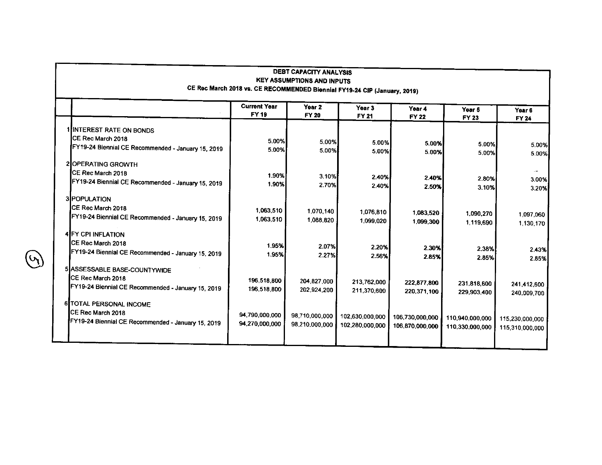|                                                    | <b>Current Year</b> | Year <sub>2</sub> | Year <sub>3</sub> | Year 4                 | Year <sub>5</sub>                  | Year <sub>6</sub>                  |
|----------------------------------------------------|---------------------|-------------------|-------------------|------------------------|------------------------------------|------------------------------------|
|                                                    | FY 19               | FY 20             | <b>FY 21</b>      | <b>FY 22</b>           | <b>FY 23</b>                       | <b>FY 24</b>                       |
| 1 INTEREST RATE ON BONDS                           |                     |                   |                   |                        |                                    |                                    |
| CE Rec March 2018                                  | 5.00%               | 5.00%             | 5.00%             |                        |                                    |                                    |
| FY19-24 Biennial CE Recommended - January 15, 2019 | 5.00%               | 5.00%             | 5.00%             | 5.00%<br>5.00%         | 5.00%<br>5.00%                     |                                    |
| 2 OPERATING GROWTH                                 |                     |                   |                   |                        |                                    |                                    |
| CE Rec March 2018                                  | 1.90%               | 3.10%             | 2.40%             |                        |                                    |                                    |
| FY19-24 Biennial CE Recommended - January 15, 2019 | 1.90%               | 2.70%             | 2.40%             | 2.40%<br>2.50%         | 2,80%<br>3.10%                     |                                    |
| 3 POPULATION                                       |                     |                   |                   |                        |                                    |                                    |
| CE Rec March 2018                                  | 1,063,510           | 1,070,140         | 1,076,810         |                        |                                    |                                    |
| FY19-24 Biennial CE Recommended - January 15, 2019 | 1,063,510           | 1.088,820         | 1.099.020         | 1,083.520<br>1,099.300 | 1,090,270<br>1.119,690             | 1,097,060<br>1,130,170             |
| <b>4 FY CPI INFLATION</b>                          |                     |                   |                   |                        |                                    |                                    |
| CE Rec March 2018                                  | 1.95%               | 2.07%             |                   |                        |                                    |                                    |
| FY19-24 Biennial CE Recommended - January 15, 2019 | 1.95%               | 2.27%             | 2.20%<br>2.56%    | 2 30%<br>2.85%         | 2.38%<br>2.85%                     |                                    |
| 5 ASSESSABLE BASE-COUNTYWIDE                       |                     |                   |                   |                        |                                    |                                    |
| CE Rec March 2018                                  |                     |                   |                   |                        |                                    |                                    |
| FY19-24 Biennial CE Recommended - January 15, 2019 | 196,518.800         | 204.827,000       | 213,762,000       | 222,877,800            | 231,818,600                        | 241,412,600                        |
|                                                    | 196,518,800         | 202,924,200       | 211,370,600       | 220.371.100            | 229,903,400                        | 240,009.700                        |
| <b>6 TOTAL PERSONAL INCOME</b>                     |                     |                   |                   |                        |                                    |                                    |
| CE Rec March 2018                                  | 94,790,000,000      | 98,710,000,000    | 102,630,000,000   | 106,730,000,000        |                                    |                                    |
| FY19-24 Biennial CE Recommended - January 15, 2019 | 94,270,000,000      | 98,210,000,000    | 102,280,000,000   | 106,870,000,000        | 110,940.000.000<br>110,330,000,000 | 115,230,000,000<br>115,310,000,000 |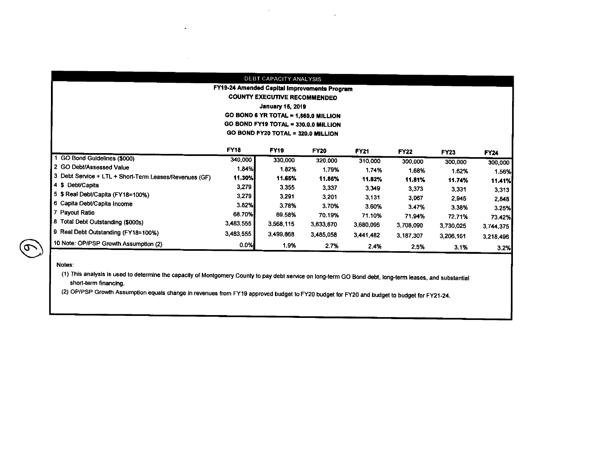|                                                        |             | DEBT CAPACITY ANALYSIS                       |             |             |             |           |             |  |  |  |  |
|--------------------------------------------------------|-------------|----------------------------------------------|-------------|-------------|-------------|-----------|-------------|--|--|--|--|
|                                                        |             | FY19-24 Amended Capital Improvements Program |             |             |             |           |             |  |  |  |  |
|                                                        |             | <b>COUNTY EXECUTIVE RECOMMENDED</b>          |             |             |             |           |             |  |  |  |  |
|                                                        |             | <b>January 15, 2019</b>                      |             |             |             |           |             |  |  |  |  |
|                                                        |             | GO BOND 6 YR TOTAL = 1,860.0 MILLION         |             |             |             |           |             |  |  |  |  |
|                                                        |             | GO BOND FY19 TOTAL = 330.0.0 MILLION         |             |             |             |           |             |  |  |  |  |
| GO BOND FY20 TOTAL = 320.0 MILLION                     |             |                                              |             |             |             |           |             |  |  |  |  |
|                                                        | <b>FY18</b> | <b>FY19</b>                                  | <b>FY20</b> | <b>FY21</b> | <b>FY22</b> | FY23      | <b>FY24</b> |  |  |  |  |
| GO Bond Guidelines (\$000)                             | 340,000     | 330,000                                      | 320,000     | 310,000     | 300,000     | 300,000   | 300,000     |  |  |  |  |
| 2 GO Debt/Assessed Value                               | 1.84%       | 1.82%                                        | 1.79%       | 1.74%       | 1.68%       | 1.62%     | 1.56%       |  |  |  |  |
| 3 Debt Service + LTL + Short-Term Leases/Revenues (GF) | 11.30%      | 11.65%                                       | 11.86%      | 11.82%      | 11.81%      | 11.74%    | 11.41%      |  |  |  |  |
| 4 \$ Debt/Capita                                       | 3,279       | 3 3 5 5                                      | 3,337       | 3.349       | 3,373       | 3.331     | 3.313       |  |  |  |  |
| 5 \$ Real Debt/Capita (FY18=100%)                      | 3,279       | 3.291                                        | 3,201       | 3,131       | 3,067       | 2.945     | 2.848       |  |  |  |  |
| 6 Capita Debt/Capita Income                            | 3.82%       | 3.78%                                        | 3.70%       | 3.60%       | 3.47%       | 3.38%     | 3.25%       |  |  |  |  |
| 7 Payout Ratio                                         | 68.70%      | 69.58%                                       | 70.19%      | 71.10%      | 71.94%      | 72.71%    | 73.42%      |  |  |  |  |
| 8 Total Debt Outstanding (\$000s)                      | 3,483,555   | 3,568.115                                    | 3,633,670   | 3,680,095   | 3.708,090   | 3,730,025 | 3,744,375   |  |  |  |  |
| 9 Real Debt Outstanding (FY18=100%)                    | 3,483,555   | 3,499,868                                    | 3,485,058   | 3,441,482   | 3,187,307   | 3,206,161 | 3,218,496   |  |  |  |  |
| 10 Note: OP/PSP Growth Assumption (2)                  | 0.0%        | 1.9%                                         | 2.7%        | 2.4%        | 2.5%        | 3.1%      | 3.2%        |  |  |  |  |

 $\sim$ 

 $\sim$ 

**Notes:** 

 $\hat{\sigma}$ 

(1) This analysis is used to determine the capacity of Montgomery County to pay debt service on long-term GO Bond debt, long-term leases, and substantial short-term financing.

(2) OP/PSP Growth Assumption equals change in revenues from FY19 approved budget to FY20 budget for FY20 and budget to budget for FY21-24.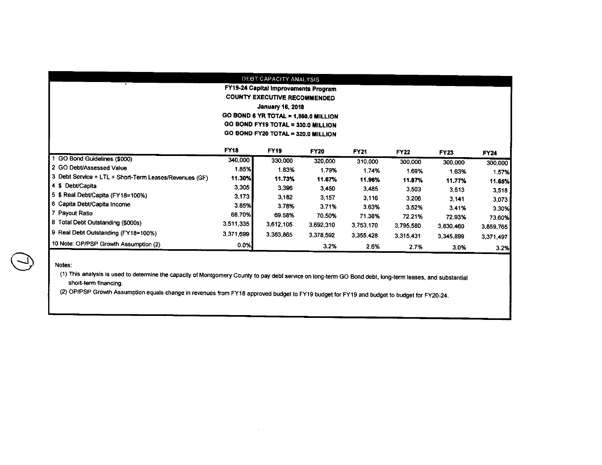|                                                        |             | DEBT CAPACITY ANALYSIS               |                        |             |             |             |           |
|--------------------------------------------------------|-------------|--------------------------------------|------------------------|-------------|-------------|-------------|-----------|
|                                                        |             | FY19-24 Capital Improvements Program |                        |             |             |             |           |
|                                                        |             | <b>COUNTY EXECUTIVE RECOMMENDED</b>  |                        |             |             |             |           |
|                                                        |             | <b>January 16, 2018</b>              |                        |             |             |             |           |
|                                                        |             | GO BOND 6 YR TOTAL = 1,860.0 MILLION |                        |             |             |             |           |
|                                                        |             | GO BOND FY19 TOTAL = 330.0 MILLION   |                        |             |             |             |           |
|                                                        |             | GO BOND FY20 TOTAL = 320.0 MILLION   |                        |             |             |             |           |
|                                                        | <b>FY18</b> | <b>FY19</b>                          |                        |             |             |             |           |
| GO Bond Guidelines (\$000)                             | 340,000     | 330,000                              | <b>FY20</b><br>320,000 | <b>FY21</b> | <b>FY22</b> | <b>FY23</b> | FY24      |
| 2 GO Debt/Assessed Value                               | 1.85%       | 1.83%                                |                        | 310,000     | 300,000     | 300,000     | 300,000   |
| 3 Debt Service + LTL + Short-Term Leases/Revenues (GF) | 11.30%      | 11.73%                               | 1.79%                  | 1.74%       | 1.69%       | 1.63%       | 1.57%     |
| 4 \$ Debt/Capita                                       | 3,305       |                                      | 11.87%                 | 11.96%      | 11.87%      | 11.77%      | 11.65%    |
| 5 \$ Real Debt/Capita (FY18=100%)                      |             | 3,396                                | 3.450                  | 3.485       | 3,503       | 3,513       | 3.518     |
| 6 Capita Debt/Capita Income                            | 3,173       | 3,182                                | 3.157                  | 3,116       | 3,206       | 3.141       | 3.073     |
|                                                        | 3.85%       | 3.78%                                | 3.71%                  | 3.63%       | 3.52%       | 3.41%       | 3.30%     |
| 7 Payout Ratio                                         | 68.70%      | 69.58%                               | 70.50%                 | 71.38%      | 72.21%      | 72.93%      | 73.60%    |
| 8 Total Debt Outstanding (\$000s)                      | 3,511,335   | 3,612,105                            | 3,692,310              | 3,753,170   | 3,795,580   | 3.830,460   | 3,859.765 |
| 9 Real Debt Outstanding (FY18=100%)                    | 3,371,699   | 3.383.865                            | 3,378,592              | 3,355,428   | 3,315,431   | 3,345,899   | 3,371,497 |
| 10 Note: OP/PSP Growth Assumption (2)                  | 0.0%        |                                      | 3.2%                   | 2.6%        | 2.7%        | 3.0%        | 3.2%      |

#### **Notes:**

 $\bigodot$ 

(1) This analysis is used to determine the capacity of Montgomery County to pay debt service on long-term GO Bond debt, long-term leases, and substantial **short-term financing.** 

(2) OP/PSP Growth Assumption equals change in revenues from FY18 approved budget to FY19 budget for FY19 and budget to budget for FY20-24.

 $\sim 10^{-1}$ 

 $\sim$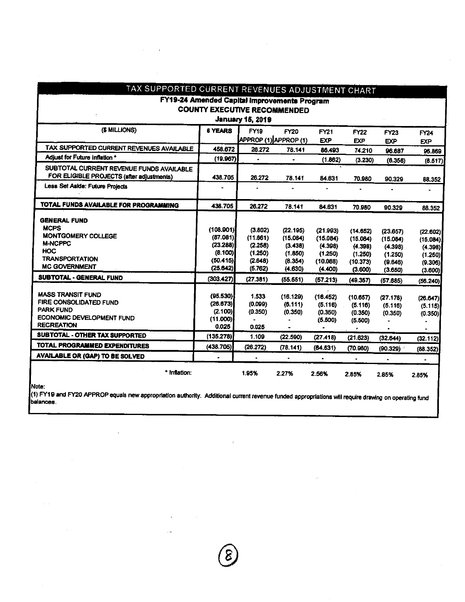| TAX SUPPORTED CURRENT REVENUES ADJUSTMENT CHART    |                                              |                         |                       |                      |                      |                     |                     |
|----------------------------------------------------|----------------------------------------------|-------------------------|-----------------------|----------------------|----------------------|---------------------|---------------------|
|                                                    | FY19-24 Amended Capital Improvements Program |                         |                       |                      |                      |                     |                     |
|                                                    | <b>COUNTY EXECUTIVE RECOMMENDED</b>          |                         |                       |                      |                      |                     |                     |
|                                                    |                                              | <b>January 15, 2019</b> |                       |                      |                      |                     |                     |
| (\$ MILLIONS)                                      | <b>6 YEARS</b>                               | <b>FY19</b>             | <b>FY20</b>           | <b>FY21</b>          | <b>FY22</b>          | FY23                | FY24                |
|                                                    |                                              |                         | APPROP (1) APPROP (1) | <b>EXP</b>           | <b>EXP</b>           | <b>EXP</b>          | <b>EXP</b>          |
| TAX SUPPORTED CURRENT REVENUES AVAILABLE           | 458.672                                      | 26.272                  | 78.141                | 86.493               | 74 210               | 96.687              | 96.869              |
| Adjust for Future inflation *                      | (19.967)                                     | $\bullet$               | $\bullet$             | (1.862)              | (3.230)              | (6.358)             | (8.517)             |
| SUBTOTAL CURRENT REVENUE FUNDS AVAILABLE           |                                              |                         |                       |                      |                      |                     |                     |
| FOR ELIGIBLE PROJECTS (after adjustments)          | 438.705                                      | 26 27 2                 | 78.141                | 84.631               | 70.980               | 90.329              | 88.352              |
| Less Set Aside: Future Projects                    |                                              |                         |                       |                      |                      |                     |                     |
| TOTAL FUNDS AVAILABLE FOR PROGRAMMING              | 438.705                                      | 26 27 2                 | 78.141                | 84.631               | 70.980               | 90.329              | 88.352              |
| <b>GENERAL FUND</b>                                |                                              |                         |                       |                      |                      |                     |                     |
| <b>MCPS</b>                                        | (108.901)                                    | (3.802)                 | (22.195)              |                      |                      |                     |                     |
| <b>MONTGOMERY COLLEGE</b>                          | (87.081)                                     | (11.661)                | (15.084)              | (21.993)<br>(15.084) | (14.652)<br>(15.084) | (23.657)            | (22.602)            |
| <b>M-NCPPC</b>                                     | (23.288)                                     | (2.258)                 | (3.438)               | (4.398)              | (4.398)              | (15.084)<br>(4.398) | (15.084)<br>(4.398) |
| <b>HOC</b>                                         | (8.100)                                      | (1.250)                 | (1.850)               | (1.250)              | (1.250)              | (1.250)             | (1.250)             |
| <b>TRANSPORTATION</b>                              | (50.415)                                     | (2.648)                 | (8.354)               | (10.088)             | (10.373)             | (9.646)             | (9.306)             |
| <b>MC GOVERNMENT</b>                               | (25.642)                                     | (5.762)                 | (4.630)               | (4.400)              | (3.600)              | (3.650)             | (3.600)             |
| <b>SUBTOTAL - GENERAL FUND</b>                     | (303.427)                                    | (27.381)                | (55.551)              | (57.213)             | (49.357)             | (57.685)            | (56.240)            |
|                                                    |                                              |                         |                       |                      |                      |                     |                     |
| <b>MASS TRANSIT FUND</b><br>FIRE CONSOLIDATED FUND | (95.530)                                     | 1.533                   | (16.129)              | (16.452)             | (10.657)             | (27.178)            | (26.647)            |
| <b>PARK FUND</b>                                   | (26.673)                                     | (0.099)                 | (6.111)               | (5.116)              | (5.116)              | (5.116)             | (5.115)             |
| <b>ECONOMIC DEVELOPMENT FUND</b>                   | (2.100)                                      | (0.350)                 | (0.350)               | (0.350)              | (0.350)              | (0.350)             | (0.350)             |
| <b>RECREATION</b>                                  | (11.000)<br>0.025                            | 0.025                   |                       | (5.500)              | (5.500)              |                     |                     |
| SUBTOTAL - OTHER TAX SUPPORTED                     | (135.278)                                    | 1.109                   | (22.590)              | (27.418)             | ۳.                   |                     | $\blacksquare$      |
| TOTAL PROGRAMMED EXPENDITURES                      | (438.705)                                    | (26.272)                | (78.141)              | (64.631)             | (21.623)             | (32.644)            | (32.112)            |
| <b>AVAILABLE OR (GAP) TO BE SOLVED</b>             |                                              |                         | $\blacksquare$        |                      | (70.980)             | (90.329)            | (88.352)            |
|                                                    |                                              |                         |                       |                      | $\bullet$            | ٠                   | $\bullet$           |
| * Inflation:                                       |                                              | 1.95%                   | 2.27%                 | 2.56%                | 2.85%                | 2.85%               | 2.85%               |

Note:

 $\bar{1}$ 

(1) FY19 and FY20 APPROP equals new appropriation authority. Additional current revenue funded appropriations will require drawing on operating fund<br>balances.

 $\hat{r}$ 

®

 $\bar{\mathcal{A}}$ 

 $\ddot{\phantom{a}}$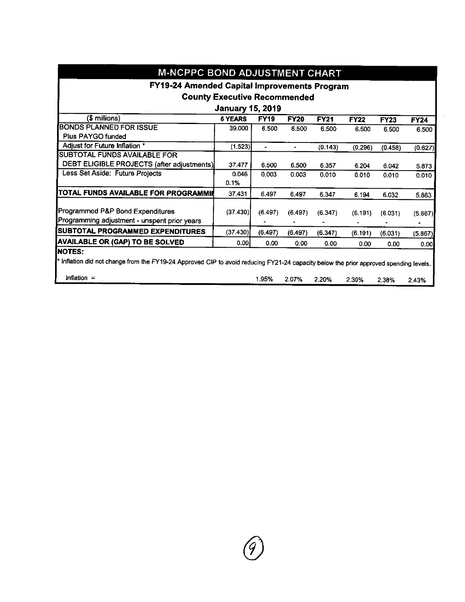| <b>M-NCPPC BOND ADJUSTMENT CHART</b>                                                                                                  |                                     |                |                |             |             |             |             |
|---------------------------------------------------------------------------------------------------------------------------------------|-------------------------------------|----------------|----------------|-------------|-------------|-------------|-------------|
| FY19-24 Amended Capital Improvements Program                                                                                          |                                     |                |                |             |             |             |             |
|                                                                                                                                       | <b>County Executive Recommended</b> |                |                |             |             |             |             |
|                                                                                                                                       | <b>January 15, 2019</b>             |                |                |             |             |             |             |
| $$$ millions)                                                                                                                         | <b>6 YEARS</b>                      | <b>FY19</b>    | <b>FY20</b>    | <b>FY21</b> | <b>FY22</b> | <b>FY23</b> | <b>FY24</b> |
| <b>BONDS PLANNED FOR ISSUE</b>                                                                                                        | 39.000                              | 6.500          | 6.500          | 6.500       | 6.500       | 6.500       | 6.500       |
| Plus PAYGO funded                                                                                                                     |                                     |                |                |             |             |             |             |
| Adjust for Future Inflation *                                                                                                         | (1.523)                             | $\blacksquare$ | $\blacksquare$ | (0.143)     | (0.296)     | (0.458)     | (0.627)     |
| SUBTOTAL FUNDS AVAILABLE FOR                                                                                                          |                                     |                |                |             |             |             |             |
| DEBT ELIGIBLE PROJECTS (after adjustments)                                                                                            | 37.477                              | 6.500          | 6.500          | 6.357       | 6.204       | 6.042       | 5.873       |
| Less Set Aside: Future Projects                                                                                                       | 0.046                               | 0.003          | 0.003          | 0.010       | 0.010       | 0.010       | 0.010       |
|                                                                                                                                       | 0.1%                                |                |                |             |             |             |             |
| TOTAL FUNDS AVAILABLE FOR PROGRAMMIN                                                                                                  | 37 431                              | 6.497          | 6.497          | 6.347       | 6.194       | 6.032       | 5.863       |
| Programmed P&P Bond Expenditures                                                                                                      | (37 430)                            | (6.497)        | (6.497)        | (6.347)     | (6.191)     | (6.031)     | (5.867)     |
| Programming adjustment - unspent prior years                                                                                          |                                     |                |                |             | ٠           |             |             |
| SUBTOTAL PROGRAMMED EXPENDITURES                                                                                                      | (37.430)                            | (6.497)        | (6.497)        | (6.347)     | (6.191)     | (6.031)     | (5.867)     |
| <b>AVAILABLE OR (GAP) TO BE SOLVED</b>                                                                                                | 0.00 <sub>1</sub>                   | 0.00           | 0.00           | 0.00        | 0.00        | 0.00        | 0.00        |
| <b>NOTES:</b>                                                                                                                         |                                     |                |                |             |             |             |             |
| * Inflation did not change from the FY19-24 Approved CIP to avoid reducing FY21-24 capacity below the prior approved spending levels. |                                     |                |                |             |             |             |             |
| Inflation $=$                                                                                                                         |                                     | 1.95%          | 2.07%          | 2.20%       | 2.30%       | 2.38%       | 2.43%       |